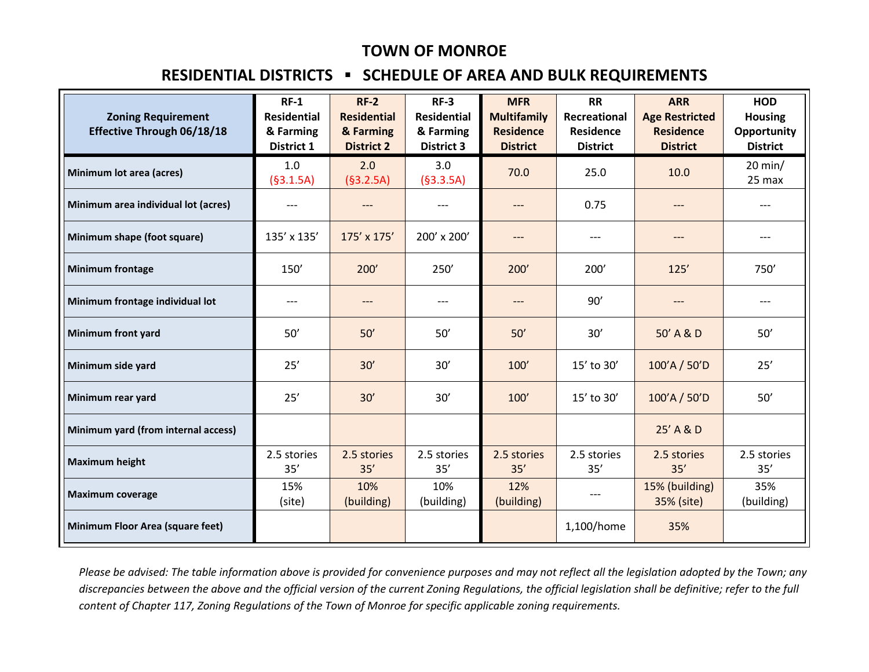## **TOWN OF MONROE**

## **RESIDENTIAL DISTRICTS ▪ SCHEDULE OF AREA AND BULK REQUIREMENTS**

| <b>Zoning Requirement</b><br>Effective Through 06/18/18 | $RF-1$<br><b>Residential</b><br>& Farming<br>District 1 | $RF-2$<br><b>Residential</b><br>& Farming<br><b>District 2</b> | $RF-3$<br><b>Residential</b><br>& Farming<br><b>District 3</b> | <b>MFR</b><br><b>Multifamily</b><br><b>Residence</b><br><b>District</b> | <b>RR</b><br>Recreational<br><b>Residence</b><br><b>District</b> | <b>ARR</b><br><b>Age Restricted</b><br><b>Residence</b><br><b>District</b> | <b>HOD</b><br><b>Housing</b><br>Opportunity<br><b>District</b> |
|---------------------------------------------------------|---------------------------------------------------------|----------------------------------------------------------------|----------------------------------------------------------------|-------------------------------------------------------------------------|------------------------------------------------------------------|----------------------------------------------------------------------------|----------------------------------------------------------------|
| Minimum lot area (acres)                                | 1.0<br>(§3.1.5A)                                        | 2.0<br>(§3.2.5A)                                               | 3.0<br>(§3.3.5A)                                               | 70.0                                                                    | 25.0                                                             | 10.0                                                                       | $20$ min/<br>25 max                                            |
| Minimum area individual lot (acres)                     | $---$                                                   | $---$                                                          | $---$                                                          | $---$                                                                   | 0.75                                                             | $---$                                                                      |                                                                |
| Minimum shape (foot square)                             | 135' x 135'                                             | 175' x 175'                                                    | 200' x 200'                                                    | $---$                                                                   | $---$                                                            | $---$                                                                      | $---$                                                          |
| <b>Minimum frontage</b>                                 | 150'                                                    | 200'                                                           | 250'                                                           | 200'                                                                    | 200'                                                             | 125'                                                                       | 750'                                                           |
| Minimum frontage individual lot                         | ---                                                     | ---                                                            | ---                                                            | $---$                                                                   | 90'                                                              | ---                                                                        | $---$                                                          |
| <b>Minimum front yard</b>                               | 50'                                                     | 50'                                                            | 50'                                                            | 50'                                                                     | 30'                                                              | 50' A & D                                                                  | 50'                                                            |
| Minimum side yard                                       | 25'                                                     | 30'                                                            | 30'                                                            | 100'                                                                    | 15' to 30'                                                       | 100'A / 50'D                                                               | 25'                                                            |
| Minimum rear yard                                       | 25'                                                     | 30'                                                            | 30'                                                            | 100'                                                                    | 15' to 30'                                                       | 100'A / 50'D                                                               | 50'                                                            |
| Minimum yard (from internal access)                     |                                                         |                                                                |                                                                |                                                                         |                                                                  | 25' A & D                                                                  |                                                                |
| <b>Maximum height</b>                                   | 2.5 stories<br>35'                                      | 2.5 stories<br>35'                                             | 2.5 stories<br>35'                                             | 2.5 stories<br>35'                                                      | 2.5 stories<br>35'                                               | 2.5 stories<br>35'                                                         | 2.5 stories<br>35'                                             |
| <b>Maximum coverage</b>                                 | 15%<br>(site)                                           | 10%<br>(building)                                              | 10%<br>(building)                                              | 12%<br>(building)                                                       | $---$                                                            | 15% (building)<br>35% (site)                                               | 35%<br>(building)                                              |
| <b>Minimum Floor Area (square feet)</b>                 |                                                         |                                                                |                                                                |                                                                         | 1,100/home                                                       | 35%                                                                        |                                                                |

*Please be advised: The table information above is provided for convenience purposes and may not reflect all the legislation adopted by the Town; any discrepancies between the above and the official version of the current Zoning Regulations, the official legislation shall be definitive; refer to the full content of Chapter 117, Zoning Regulations of the Town of Monroe for specific applicable zoning requirements.*